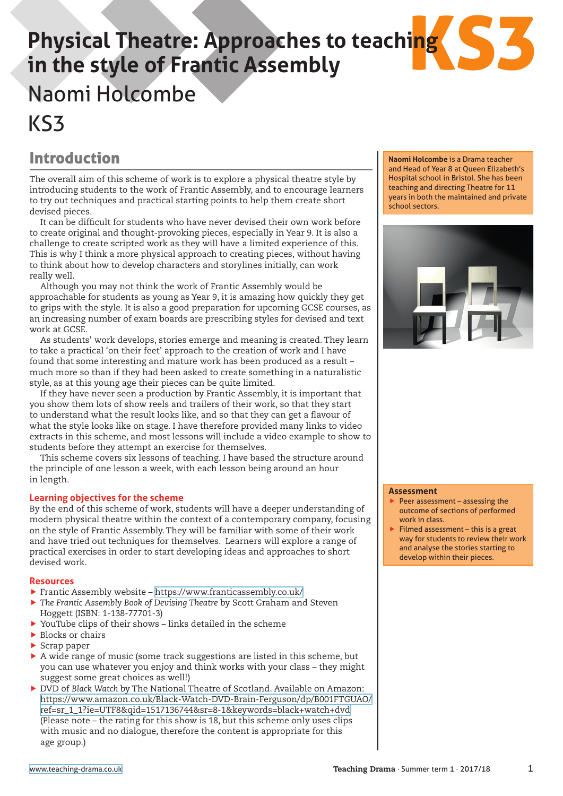# ing S3 **Physical Theatre: Approaches to teaching in the style of Frantic Assembly** Naomi Holcombe KS3

### Introduction

The overall aim of this scheme of work is to explore a physical theatre style by introducing students to the work of Frantic Assembly, and to encourage learners to try out techniques and practical starting points to help them create short devised pieces.

It can be difficult for students who have never devised their own work before to create original and thought-provoking pieces, especially in Year 9. It is also a challenge to create scripted work as they will have a limited experience of this. This is why I think a more physical approach to creating pieces, without having to think about how to develop characters and storylines initially, can work really well.

Although you may not think the work of Frantic Assembly would be approachable for students as young as Year 9, it is amazing how quickly they get to grips with the style. It is also a good preparation for upcoming GCSE courses, as an increasing number of exam boards are prescribing styles for devised and text work at GCSE.

As students' work develops, stories emerge and meaning is created. They learn to take a practical 'on their feet' approach to the creation of work and I have found that some interesting and mature work has been produced as a result – much more so than if they had been asked to create something in a naturalistic style, as at this young age their pieces can be quite limited.

If they have never seen a production by Frantic Assembly, it is important that you show them lots of show reels and trailers of their work, so that they start to understand what the result looks like, and so that they can get a flavour of what the style looks like on stage. I have therefore provided many links to video extracts in this scheme, and most lessons will include a video example to show to students before they attempt an exercise for themselves.

This scheme covers six lessons of teaching. I have based the structure around the principle of one lesson a week, with each lesson being around an hour in length.

### **Learning objectives for the scheme**

By the end of this scheme of work, students will have a deeper understanding of modern physical theatre within the context of a contemporary company, focusing on the style of Frantic Assembly. They will be familiar with some of their work and have tried out techniques for themselves. Learners will explore a range of practical exercises in order to start developing ideas and approaches to short devised work.

### **Resources**

- Frantic Assembly website <https://www.franticassembly.co.uk/>
- **F** The Frantic Assembly Book of Devising Theatre by Scott Graham and Steven Hoggett (ISBN: 1-138-77701-3)
- $\blacktriangleright$  YouTube clips of their shows links detailed in the scheme
- $\blacktriangleright$  Blocks or chairs
- $\blacktriangleright$  Scrap paper
- A wide range of music (some track suggestions are listed in this scheme, but you can use whatever you enjoy and think works with your class – they might suggest some great choices as well!)
- **F** DVD of Black Watch by The National Theatre of Scotland. Available on Amazon: [https://www.amazon.co.uk/Black-Watch-DVD-Brain-Ferguson/dp/B001FTGUAO/](https://www.amazon.co.uk/Black-Watch-DVD-Brain-Ferguson/dp/B001FTGUAO/ref=sr_1_1?ie=UTF8&qid=1517136744&sr=8-1&keywords=black+watch+dvd) [ref=sr\\_1\\_1?ie=UTF8&qid=1517136744&sr=8-1&keywords=black+watch+dvd](https://www.amazon.co.uk/Black-Watch-DVD-Brain-Ferguson/dp/B001FTGUAO/ref=sr_1_1?ie=UTF8&qid=1517136744&sr=8-1&keywords=black+watch+dvd) (Please note – the rating for this show is 18, but this scheme only uses clips with music and no dialogue, therefore the content is appropriate for this age group.)

**Naomi Holcombe** is a Drama teacher and Head of Year 8 at Queen Elizabeth's Hospital school in Bristol. She has been teaching and directing Theatre for 11 years in both the maintained and private school sectors.



#### **Assessment**

- $\rightarrow$  Peer assessment assessing the outcome of sections of performed work in class.
- $\blacktriangleright$  Filmed assessment this is a great way for students to review their work and analyse the stories starting to develop within their pieces.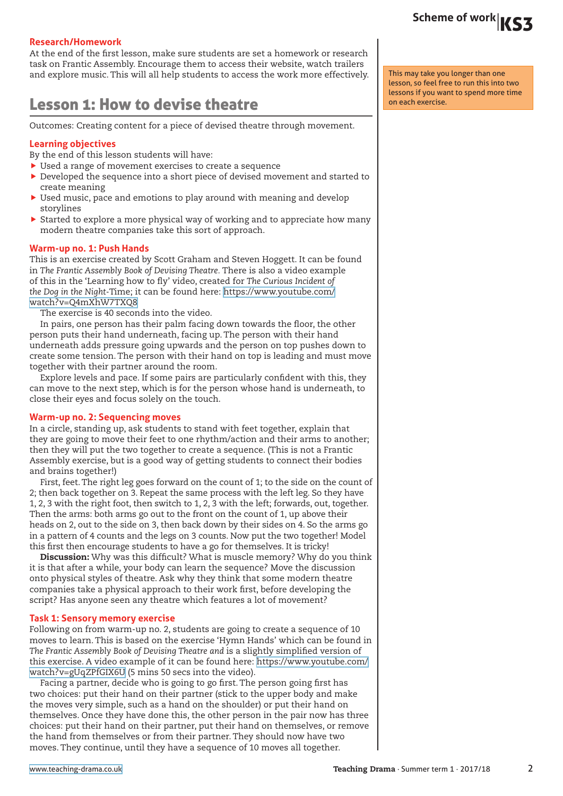# Scheme of work |KS3

### **Research/Homework**

At the end of the first lesson, make sure students are set a homework or research task on Frantic Assembly. Encourage them to access their website, watch trailers and explore music. This will all help students to access the work more effectively.

### Lesson 1: How to devise theatre

Outcomes: Creating content for a piece of devised theatre through movement.

### **Learning objectives**

By the end of this lesson students will have:

- $\blacktriangleright$  Used a range of movement exercises to create a sequence
- $\blacktriangleright$  Developed the sequence into a short piece of devised movement and started to create meaning
- $\blacktriangleright$  Used music, pace and emotions to play around with meaning and develop storylines
- $\triangleright$  Started to explore a more physical way of working and to appreciate how many modern theatre companies take this sort of approach.

### **Warm-up no. 1: Push Hands**

This is an exercise created by Scott Graham and Steven Hoggett. It can be found in *The Frantic Assembly Book of Devising Theatre.* There is also a video example of this in the 'Learning how to fly' video, created for *The Curious Incident of the Dog in the Night-*Time; it can be found here: [https://www.youtube.com/](https://www.youtube.com/watch?v=Q4mXhW7TXQ8) [watch?v=Q4mXhW7TXQ8](https://www.youtube.com/watch?v=Q4mXhW7TXQ8)

The exercise is 40 seconds into the video.

In pairs, one person has their palm facing down towards the floor, the other person puts their hand underneath, facing up. The person with their hand underneath adds pressure going upwards and the person on top pushes down to create some tension. The person with their hand on top is leading and must move together with their partner around the room.

Explore levels and pace. If some pairs are particularly confident with this, they can move to the next step, which is for the person whose hand is underneath, to close their eyes and focus solely on the touch.

### **Warm-up no. 2: Sequencing moves**

In a circle, standing up, ask students to stand with feet together, explain that they are going to move their feet to one rhythm/action and their arms to another; then they will put the two together to create a sequence. (This is not a Frantic Assembly exercise, but is a good way of getting students to connect their bodies and brains together!)

First, feet. The right leg goes forward on the count of 1; to the side on the count of 2; then back together on 3. Repeat the same process with the left leg. So they have 1, 2, 3 with the right foot, then switch to 1, 2, 3 with the left; forwards, out, together. Then the arms: both arms go out to the front on the count of 1, up above their heads on 2, out to the side on 3, then back down by their sides on 4. So the arms go in a pattern of 4 counts and the legs on 3 counts. Now put the two together! Model this first then encourage students to have a go for themselves. It is tricky!

Discussion: Why was this difficult? What is muscle memory? Why do you think it is that after a while, your body can learn the sequence? Move the discussion onto physical styles of theatre. Ask why they think that some modern theatre companies take a physical approach to their work first, before developing the script? Has anyone seen any theatre which features a lot of movement?

### **Task 1: Sensory memory exercise**

Following on from warm-up no. 2, students are going to create a sequence of 10 moves to learn. This is based on the exercise 'Hymn Hands' which can be found in *The Frantic Assembly Book of Devising Theatre and* is a slightly simplified version of this exercise. A video example of it can be found here: [https://www.youtube.com/](https://www.youtube.com/watch?v=gUqZPfGIX6U) [watch?v=gUqZPfGIX6U](https://www.youtube.com/watch?v=gUqZPfGIX6U) (5 mins 50 secs into the video).

Facing a partner, decide who is going to go first. The person going first has two choices: put their hand on their partner (stick to the upper body and make the moves very simple, such as a hand on the shoulder) or put their hand on themselves. Once they have done this, the other person in the pair now has three choices: put their hand on their partner, put their hand on themselves, or remove the hand from themselves or from their partner. They should now have two moves. They continue, until they have a sequence of 10 moves all together.

This may take you longer than one lesson, so feel free to run this into two lessons if you want to spend more time on each exercise.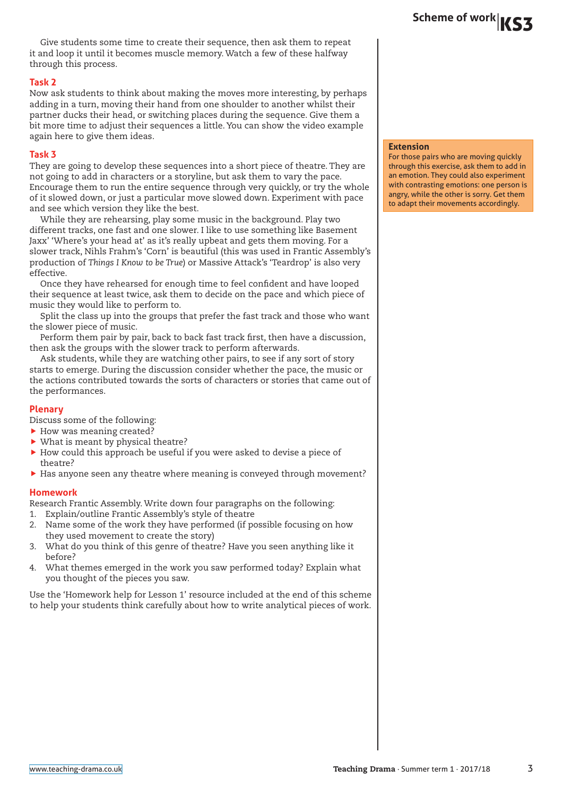Give students some time to create their sequence, then ask them to repeat it and loop it until it becomes muscle memory. Watch a few of these halfway through this process.

### **Task 2**

Now ask students to think about making the moves more interesting, by perhaps adding in a turn, moving their hand from one shoulder to another whilst their partner ducks their head, or switching places during the sequence. Give them a bit more time to adjust their sequences a little. You can show the video example again here to give them ideas.

### **Task 3**

They are going to develop these sequences into a short piece of theatre. They are not going to add in characters or a storyline, but ask them to vary the pace. Encourage them to run the entire sequence through very quickly, or try the whole of it slowed down, or just a particular move slowed down. Experiment with pace and see which version they like the best.

While they are rehearsing, play some music in the background. Play two different tracks, one fast and one slower. I like to use something like Basement Jaxx' 'Where's your head at' as it's really upbeat and gets them moving. For a slower track, Nihls Frahm's 'Corn' is beautiful (this was used in Frantic Assembly's production of *Things I Know to be True*) or Massive Attack's 'Teardrop' is also very effective.

Once they have rehearsed for enough time to feel confident and have looped their sequence at least twice, ask them to decide on the pace and which piece of music they would like to perform to.

Split the class up into the groups that prefer the fast track and those who want the slower piece of music.

Perform them pair by pair, back to back fast track first, then have a discussion, then ask the groups with the slower track to perform afterwards.

Ask students, while they are watching other pairs, to see if any sort of story starts to emerge. During the discussion consider whether the pace, the music or the actions contributed towards the sorts of characters or stories that came out of the performances.

### **Plenary**

Discuss some of the following:

- $\blacktriangleright$  How was meaning created?
- $\blacktriangleright$  What is meant by physical theatre?
- $\blacktriangleright$  How could this approach be useful if you were asked to devise a piece of theatre?
- $\blacktriangleright$  Has anyone seen any theatre where meaning is conveyed through movement?

### **Homework**

Research Frantic Assembly. Write down four paragraphs on the following:

- 1. Explain/outline Frantic Assembly's style of theatre
- 2. Name some of the work they have performed (if possible focusing on how they used movement to create the story)
- 3. What do you think of this genre of theatre? Have you seen anything like it before?
- 4. What themes emerged in the work you saw performed today? Explain what you thought of the pieces you saw.

Use the 'Homework help for Lesson 1' resource included at the end of this scheme to help your students think carefully about how to write analytical pieces of work.

#### **Extension**

For those pairs who are moving quickly through this exercise, ask them to add in an emotion. They could also experiment with contrasting emotions: one person is angry, while the other is sorry. Get them to adapt their movements accordingly.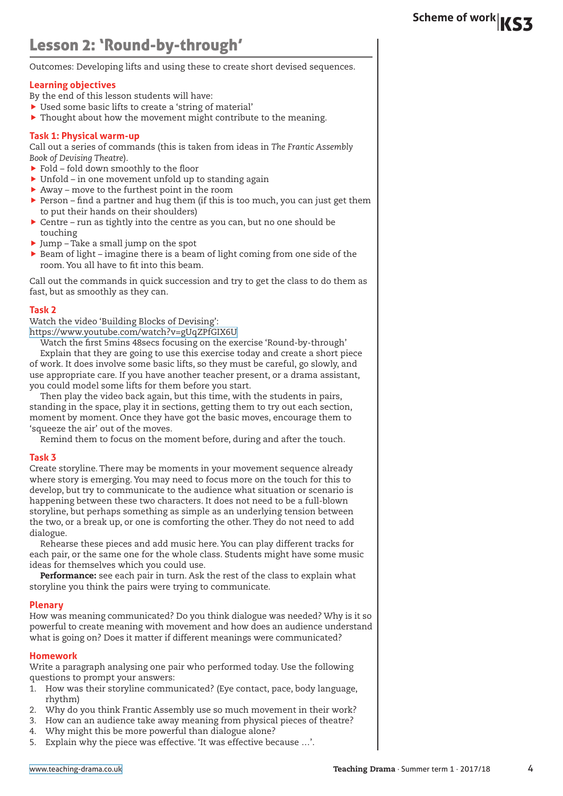### Lesson 2: 'Round-by-through'

Outcomes: Developing lifts and using these to create short devised sequences.

### **Learning objectives**

- By the end of this lesson students will have:
- ▶ Used some basic lifts to create a 'string of material'
- $\blacktriangleright$  Thought about how the movement might contribute to the meaning.

### **Task 1: Physical warm-up**

Call out a series of commands (this is taken from ideas in *The Frantic Assembly Book of Devising Theatre*).

- Fold fold down smoothly to the floor
- $\blacktriangleright$  Unfold in one movement unfold up to standing again
- $\blacktriangleright$  Away move to the furthest point in the room
- $\blacktriangleright$  Person find a partner and hug them (if this is too much, you can just get them to put their hands on their shoulders)
- $\triangleright$  Centre run as tightly into the centre as you can, but no one should be touching
- $\blacktriangleright$  Jump Take a small jump on the spot
- $\triangleright$  Beam of light imagine there is a beam of light coming from one side of the room. You all have to fit into this beam.

Call out the commands in quick succession and try to get the class to do them as fast, but as smoothly as they can.

### **Task 2**

Watch the video 'Building Blocks of Devising':

<https://www.youtube.com/watch?v=gUqZPfGIX6U>

Watch the first 5mins 48secs focusing on the exercise 'Round-by-through' Explain that they are going to use this exercise today and create a short piece of work. It does involve some basic lifts, so they must be careful, go slowly, and use appropriate care. If you have another teacher present, or a drama assistant, you could model some lifts for them before you start.

Then play the video back again, but this time, with the students in pairs, standing in the space, play it in sections, getting them to try out each section, moment by moment. Once they have got the basic moves, encourage them to 'squeeze the air' out of the moves.

Remind them to focus on the moment before, during and after the touch.

### **Task 3**

Create storyline. There may be moments in your movement sequence already where story is emerging. You may need to focus more on the touch for this to develop, but try to communicate to the audience what situation or scenario is happening between these two characters. It does not need to be a full-blown storyline, but perhaps something as simple as an underlying tension between the two, or a break up, or one is comforting the other. They do not need to add dialogue.

Rehearse these pieces and add music here. You can play different tracks for each pair, or the same one for the whole class. Students might have some music ideas for themselves which you could use.

Performance: see each pair in turn. Ask the rest of the class to explain what storyline you think the pairs were trying to communicate.

### **Plenary**

How was meaning communicated? Do you think dialogue was needed? Why is it so powerful to create meaning with movement and how does an audience understand what is going on? Does it matter if different meanings were communicated?

### **Homework**

Write a paragraph analysing one pair who performed today. Use the following questions to prompt your answers:

- 1. How was their storyline communicated? (Eye contact, pace, body language, rhythm)
- 2. Why do you think Frantic Assembly use so much movement in their work?
- 3. How can an audience take away meaning from physical pieces of theatre?
- 4. Why might this be more powerful than dialogue alone?
- 5. Explain why the piece was effective. 'It was effective because …'.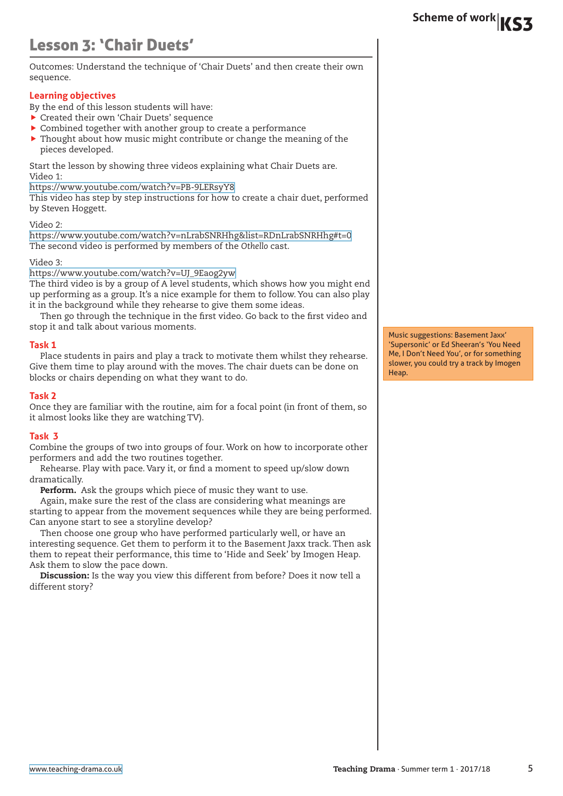# Scheme of work |**KS3**

# Lesson 3: 'Chair Duets'

Outcomes: Understand the technique of 'Chair Duets' and then create their own sequence.

### **Learning objectives**

By the end of this lesson students will have:

- $\blacktriangleright$  Created their own 'Chair Duets' sequence
- $\triangleright$  Combined together with another group to create a performance
- $\triangleright$  Thought about how music might contribute or change the meaning of the pieces developed.

Start the lesson by showing three videos explaining what Chair Duets are. Video 1:

<https://www.youtube.com/watch?v=PB-9LERsyY8>

This video has step by step instructions for how to create a chair duet, performed by Steven Hoggett.

### Video 2:

<https://www.youtube.com/watch?v=nLrabSNRHhg&list=RDnLrabSNRHhg#t=0> The second video is performed by members of the *Othello* cast.

### Video 3:

[https://www.youtube.com/watch?v=UJ\\_9Eaog2yw](https://www.youtube.com/watch?v=UJ_9Eaog2yw)

The third video is by a group of A level students, which shows how you might end up performing as a group. It's a nice example for them to follow. You can also play it in the background while they rehearse to give them some ideas.

Then go through the technique in the first video. Go back to the first video and stop it and talk about various moments.

### **Task 1**

Place students in pairs and play a track to motivate them whilst they rehearse. Give them time to play around with the moves. The chair duets can be done on blocks or chairs depending on what they want to do.

### **Task 2**

Once they are familiar with the routine, aim for a focal point (in front of them, so it almost looks like they are watching TV).

### **Task 3**

Combine the groups of two into groups of four. Work on how to incorporate other performers and add the two routines together.

Rehearse. Play with pace. Vary it, or find a moment to speed up/slow down dramatically.

Perform. Ask the groups which piece of music they want to use.

Again, make sure the rest of the class are considering what meanings are starting to appear from the movement sequences while they are being performed. Can anyone start to see a storyline develop?

Then choose one group who have performed particularly well, or have an interesting sequence. Get them to perform it to the Basement Jaxx track. Then ask them to repeat their performance, this time to 'Hide and Seek' by Imogen Heap. Ask them to slow the pace down.

Discussion: Is the way you view this different from before? Does it now tell a different story?

Music suggestions: Basement Jaxx' 'Supersonic' or Ed Sheeran's 'You Need Me, I Don't Need You', or for something slower, you could try a track by Imogen Heap.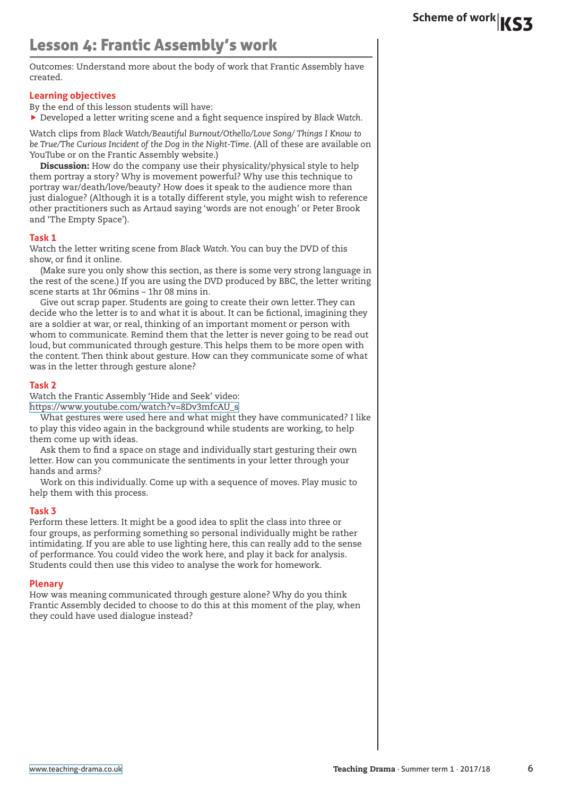### Lesson 4: Frantic Assembly's work

Outcomes: Understand more about the body of work that Frantic Assembly have created.

### **Learning objectives**

By the end of this lesson students will have:

f Developed a letter writing scene and a fight sequence inspired by *Black Watch*.

Watch clips from *Black Watch/Beautiful Burnout/Othello/Love Song/ Things I Know to be True/The Curious Incident of the Dog in the Night-Time*. (All of these are available on YouTube or on the Frantic Assembly website.)

Discussion: How do the company use their physicality/physical style to help them portray a story? Why is movement powerful? Why use this technique to portray war/death/love/beauty? How does it speak to the audience more than just dialogue? (Although it is a totally different style, you might wish to reference other practitioners such as Artaud saying 'words are not enough' or Peter Brook and 'The Empty Space').

### **Task 1**

Watch the letter writing scene from *Black Watch*. You can buy the DVD of this show, or find it online.

(Make sure you only show this section, as there is some very strong language in the rest of the scene.) If you are using the DVD produced by BBC, the letter writing scene starts at 1hr 06mins – 1hr 08 mins in.

Give out scrap paper. Students are going to create their own letter. They can decide who the letter is to and what it is about. It can be fictional, imagining they are a soldier at war, or real, thinking of an important moment or person with whom to communicate. Remind them that the letter is never going to be read out loud, but communicated through gesture. This helps them to be more open with the content. Then think about gesture. How can they communicate some of what was in the letter through gesture alone?

### **Task 2**

Watch the Frantic Assembly 'Hide and Seek' video:

[https://www.youtube.com/watch?v=8Dv3mfcAU\\_s](https://www.youtube.com/watch?v=8Dv3mfcAU_s)

What gestures were used here and what might they have communicated? I like to play this video again in the background while students are working, to help them come up with ideas.

Ask them to find a space on stage and individually start gesturing their own letter. How can you communicate the sentiments in your letter through your hands and arms?

Work on this individually. Come up with a sequence of moves. Play music to help them with this process.

### **Task 3**

Perform these letters. It might be a good idea to split the class into three or four groups, as performing something so personal individually might be rather intimidating. If you are able to use lighting here, this can really add to the sense of performance. You could video the work here, and play it back for analysis. Students could then use this video to analyse the work for homework.

### **Plenary**

How was meaning communicated through gesture alone? Why do you think Frantic Assembly decided to choose to do this at this moment of the play, when they could have used dialogue instead?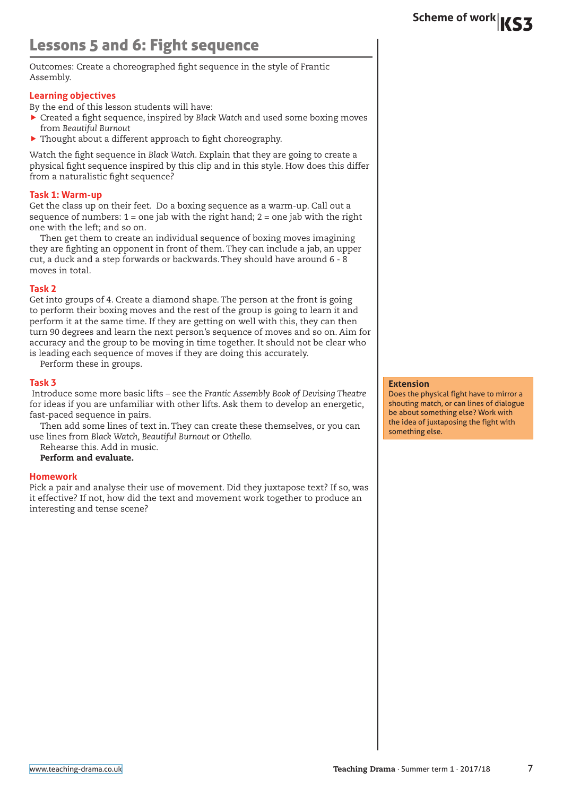## Lessons 5 and 6: Fight sequence

Outcomes: Create a choreographed fight sequence in the style of Frantic Assembly.

### **Learning objectives**

By the end of this lesson students will have:

- **F** Created a fight sequence, inspired by Black Watch and used some boxing moves from *Beautiful Burnout*
- $\blacktriangleright$  Thought about a different approach to fight choreography.

Watch the fight sequence in *Black Watch*. Explain that they are going to create a physical fight sequence inspired by this clip and in this style. How does this differ from a naturalistic fight sequence?

### **Task 1: Warm-up**

Get the class up on their feet. Do a boxing sequence as a warm-up. Call out a sequence of numbers:  $1 =$  one jab with the right hand;  $2 =$  one jab with the right one with the left; and so on.

Then get them to create an individual sequence of boxing moves imagining they are fighting an opponent in front of them. They can include a jab, an upper cut, a duck and a step forwards or backwards. They should have around 6 - 8 moves in total.

### **Task 2**

Get into groups of 4. Create a diamond shape. The person at the front is going to perform their boxing moves and the rest of the group is going to learn it and perform it at the same time. If they are getting on well with this, they can then turn 90 degrees and learn the next person's sequence of moves and so on. Aim for accuracy and the group to be moving in time together. It should not be clear who is leading each sequence of moves if they are doing this accurately.

Perform these in groups.

### **Task 3**

 Introduce some more basic lifts – see the *Frantic Assembly Book of Devising Theatre*  for ideas if you are unfamiliar with other lifts. Ask them to develop an energetic, fast-paced sequence in pairs.

Then add some lines of text in. They can create these themselves, or you can use lines from *Black Watch, Beautiful Burnout* or *Othello.*

Rehearse this. Add in music.

Perform and evaluate.

### **Homework**

Pick a pair and analyse their use of movement. Did they juxtapose text? If so, was it effective? If not, how did the text and movement work together to produce an interesting and tense scene?

#### **Extension**

Does the physical fight have to mirror a shouting match, or can lines of dialogue be about something else? Work with the idea of juxtaposing the fight with something else.